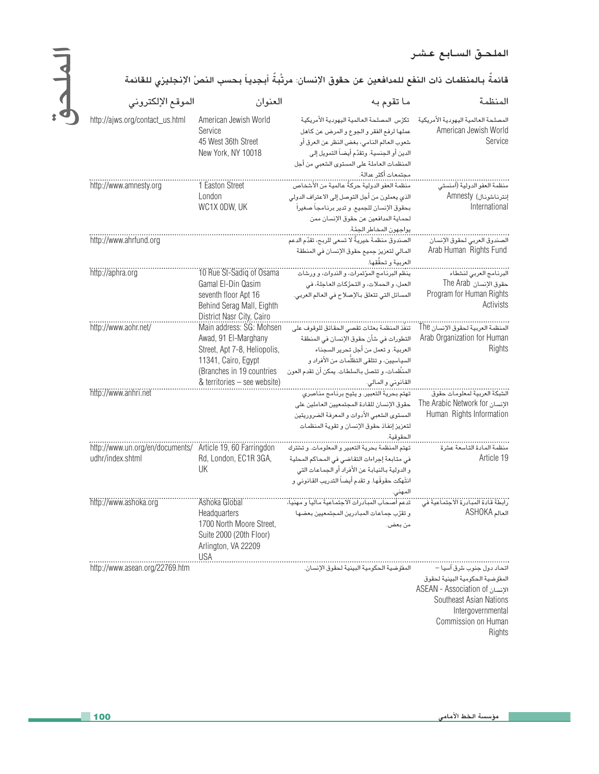## الملحق السابع عشر

## الملحق

## قائمةٌ بالمنظمات ذات النفع للمدافعين عن حقوق الإنسان: مرتَّبةٌ أبجدياً بحسب النصِّ الإنجليزي للقائمة

| الموقع الإلكتروني                                         | العنوان                                                                                  | ما تقوم به                                                                                                                                                                                                                     | المنظمة                                                                                                            |
|-----------------------------------------------------------|------------------------------------------------------------------------------------------|--------------------------------------------------------------------------------------------------------------------------------------------------------------------------------------------------------------------------------|--------------------------------------------------------------------------------------------------------------------|
| http://ajws.org/contact_us.html                           | American Jewish World<br>Service<br>45 West 36th Street<br>New York, NY 10018            | تكرٌس المصلحة العالمية اليهودية الأمريكية<br>عملها لرفع الفقر والجوع والمرض عن كاهل<br>شعوب العالم النامي، بغض النظر عن العرق أو<br>الدين أو الجنسية. وتقدِّم أيضـاً التمويل إلى<br>المنظمات العاملة على المستوى الشعبي من أجل | المصلحة العالمية اليهودية الأمريكية<br>American Jewish World<br>Service                                            |
|                                                           |                                                                                          | مجتمعات أكثر عدالة.                                                                                                                                                                                                            |                                                                                                                    |
| http://www.amnesty.org                                    | 1 Easton Street<br>London                                                                | منظمة العفو الدولية حركةٌ عالمية من الأشخاص<br>الذي يعملون من أجل التوصل إلى الاعتراف الدولي                                                                                                                                   | منظمة العفو الدولية (أمنستي<br>إنترناشونال) Amnesty                                                                |
|                                                           | WC1X ODW, UK                                                                             | بحقوق الإنسان للجميع. و تدير برنامجاً صغيراً                                                                                                                                                                                   | International                                                                                                      |
|                                                           |                                                                                          | لحماية المدافعين عن حقوق الإنسان ممن                                                                                                                                                                                           |                                                                                                                    |
|                                                           |                                                                                          | يواجهون المخاطر الجمَّة.<br>                                                                                                                                                                                                   |                                                                                                                    |
| http://www.ahrfund.org                                    |                                                                                          | الصندوق منظمة خيريةً لا تسعى للربح، تقدِّم الدعم                                                                                                                                                                               | الصندوق العربي لحقوق الإنسان                                                                                       |
|                                                           |                                                                                          | المالي لتعزيز جميع حقوق الإنسان في المنطقة                                                                                                                                                                                     | Arab Human Rights Fund                                                                                             |
|                                                           |                                                                                          | العربية و تحقُّقِها.                                                                                                                                                                                                           |                                                                                                                    |
| http://aphra.org                                          | 10 Rue St-Sadiq of Osama<br>Gamal El-Din Qasim                                           | ينظِّم البرنامج المؤتمرات، و الندوات، و ورشات<br>العمل، و الحملات، و التحرُّكاتِ العاجلة، في                                                                                                                                   | <br>البرنامج العربي لنشطاء<br>حقوق الإنسان The Arab                                                                |
|                                                           | seventh floor Apt 16                                                                     | المسائل التي تتعلق بالإصلاح في العالم العربي.                                                                                                                                                                                  | Program for Human Rights                                                                                           |
|                                                           | Behind Serag Mall, Eighth<br>District Nasr City, Cairo                                   |                                                                                                                                                                                                                                | Activists                                                                                                          |
| http://www.aohr.net/                                      | Main address: SG: Mohsen                                                                 |                                                                                                                                                                                                                                | المنظمة العربية لحقوق الإنسان The                                                                                  |
|                                                           | Awad, 91 El-Marghany                                                                     | التطورات في شأن حقوق الإنسان في المنطقة                                                                                                                                                                                        | Arab Organization for Human                                                                                        |
|                                                           | Street, Apt 7-8, Heliopolis,                                                             | العربية. و تعمل من أجل تحرير السجناء                                                                                                                                                                                           | Rights                                                                                                             |
|                                                           | 11341, Cairo, Egypt                                                                      | السياسيين، و تتلقى التظلُّمات من الأفراد و                                                                                                                                                                                     |                                                                                                                    |
|                                                           | (Branches in 19 countries                                                                | المنظَّمات، و تتصل بالسلطات. يمكن أن تقدم العون                                                                                                                                                                                |                                                                                                                    |
|                                                           | & territories - see website)                                                             | القانوني و المالي.<br>.                                                                                                                                                                                                        |                                                                                                                    |
| http://www.anhri.net                                      |                                                                                          | حقوق الإنسان للقادة المجتمعيين العاملين على                                                                                                                                                                                    | The Arabic Network for                                                                                             |
|                                                           |                                                                                          | المستوى الشعبى الأدوات و المعرفة الضروريتين                                                                                                                                                                                    | Human Rights Information                                                                                           |
|                                                           |                                                                                          | لتعزيز إنفاذ حقوق الإنسان وتقوية المنظمات                                                                                                                                                                                      |                                                                                                                    |
|                                                           |                                                                                          | الحقوقية.                                                                                                                                                                                                                      |                                                                                                                    |
| http://www.un.org/en/documents/ Article 19, 60 Farringdon |                                                                                          | تهتم المنظمة بحرية التعبير و المعلومات. و تشترك                                                                                                                                                                                | منظمة المادة التاسعة عشرة                                                                                          |
| udhr/index.shtml                                          | Rd, London, EC1R 3GA,                                                                    | في متابعة إجراءات التقاضي في المحاكم المحلية                                                                                                                                                                                   | Article 19                                                                                                         |
|                                                           | UK                                                                                       | و الدولية بالنيابة عن الأفراد أو الجماعات التي                                                                                                                                                                                 |                                                                                                                    |
|                                                           |                                                                                          | انتُهكت حقوقُها. و تقدم أيضاً التدريب القانوني و                                                                                                                                                                               |                                                                                                                    |
| http://www.ashoka.org                                     | 'Ashoka Global'                                                                          | المهنى.                                                                                                                                                                                                                        |                                                                                                                    |
|                                                           | Headquarters                                                                             | وتقرِّب جماعات المبادرين المجتمعيين بعضها                                                                                                                                                                                      | ASHOKA العالم                                                                                                      |
|                                                           | 1700 North Moore Street,<br>Suite 2000 (20th Floor)<br>Arlington, VA 22209<br><b>USA</b> | من بعض.                                                                                                                                                                                                                        |                                                                                                                    |
| http://www.asean.org/22769.htm                            |                                                                                          | المفوَّضية الحكومية البينية لحقوق الإنسان.                                                                                                                                                                                     | اتحاد دول جذوب شرق آسيا –                                                                                          |
|                                                           |                                                                                          |                                                                                                                                                                                                                                | المفوّضية الحكومية البينية لحقوق<br>الإنسان ASEAN - Association of<br>Southeast Asian Nations<br>Internovernmental |

Intergovern ientai Commission on Human Rights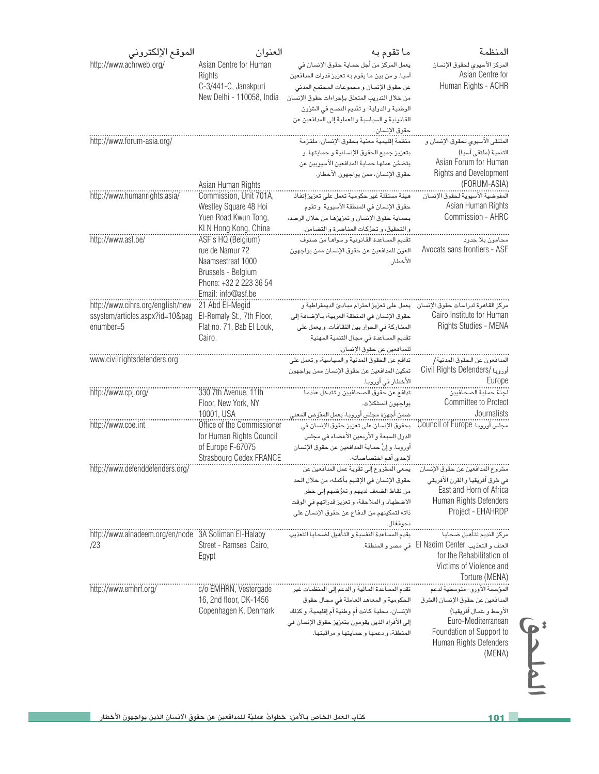| الموقع الإلكتروني                                    | العنوان                                         | ما تقوم به                                                                                | المنظمة                                                         |
|------------------------------------------------------|-------------------------------------------------|-------------------------------------------------------------------------------------------|-----------------------------------------------------------------|
| http://www.achrweb.org/                              | Asian Centre for Human                          | يعمل المركز من أجل حماية حقوق الإنسان في                                                  | المركز الآسيوي لحقوق الإنسان                                    |
|                                                      | Rights                                          | آسيا. و من بين ما يقوم به تعزيز قدرات المدافعين                                           | Asian Centre for                                                |
|                                                      | C-3/441-C, Janakpuri                            | عن حقوق الإنسان و مجموعات المجتمع المدني                                                  | Human Rights - ACHR                                             |
|                                                      | New Delhi - 110058, India                       | من خلال التدريب المتعلق بإجراءات حقوق الإنسان                                             |                                                                 |
|                                                      |                                                 | الوطنية والدولية؛ وتقديم النصح في الشؤون                                                  |                                                                 |
|                                                      |                                                 | القانونية والسياسية والعملية إلى المدافعين عن                                             |                                                                 |
| http://www.forum-asia.org/                           |                                                 | حقوق الإنسان.<br>منظمة إقليمية معنية بحقوق الإنسان، ملتزمة                                | الملتقى الآسيوي لحقوق الإنسان و                                 |
|                                                      |                                                 | بتعزيز جميع الحقوق الإنسانية وحمايتها. و                                                  | التنمية (ملتقى آسيا)                                            |
|                                                      |                                                 | يتضمَّن عملها حماية المدافعين الآسيويين عن                                                | Asian Forum for Human                                           |
|                                                      | Asian Human Rights                              | حقوق الإنسان، ممن يواجهون الأخطار.                                                        | Rights and Development<br>(FORUM-ASIA)                          |
| http://www.humanrights.asia/                         | Commission, Unit 701A,                          |                                                                                           |                                                                 |
|                                                      | Westley Square 48 Hoi                           | حقوق الإنسان في المنطقة الآسيوية. و تقوم                                                  | Asian Human Rights                                              |
|                                                      | Yuen Road Kwun Tong,                            | بحماية حقوق الإنسان و تعزيزها من خلال الرصد،                                              | Commission - AHRC                                               |
|                                                      | KLN Hong Kong, China                            | و التحقيق، و تحرُّكات المناصرة و التضامن.                                                 |                                                                 |
| http://www.asf.be/                                   | ASF's HQ (Belgium)                              | تقديم المساعدة القانونية و سواهـا من صنوف                                                 | محامون بلا حدود                                                 |
|                                                      | rue de Namur 72                                 | العون للمدافعين عن حقوق الإنسان ممن يواجهون                                               | Avocats sans frontiers - ASF                                    |
|                                                      | Naamsestraat 1000                               | الأخطار.                                                                                  |                                                                 |
|                                                      | Brussels - Belgium                              |                                                                                           |                                                                 |
|                                                      | Phone: +32 2 223 36 54<br>Email: info@asf.be    |                                                                                           |                                                                 |
| http://www.cihrs.org/english/new                     | 21 Abd El-Megid                                 | مركز القاهرة لدراسات حقوق الإنسان يعمل على تعزيز احترام مبادئ الديمقراطية و               |                                                                 |
| ssystem/articles.aspx?id=10&pag                      | El-Remaly St., 7th Floor,                       | حقوق الإنسان في المنطقة العربية، بالإضافة إلى                                             | Cairo Institute for Human                                       |
| enumber=5                                            | Flat no. 71, Bab El Louk,                       | المشاركة في الحوار بين الثقافات. و يعمل على                                               | Rights Studies - MENA                                           |
|                                                      | Cairo.                                          | تقديم المساعدة في مجال التنمية المهنية                                                    |                                                                 |
|                                                      |                                                 | للمدافعين عن حقوق الإنسان.                                                                |                                                                 |
| www.civilrightsdefenders.org                         |                                                 | تدافع عن الحقوق المدنية و السياسية، و تعمل على                                            |                                                                 |
|                                                      |                                                 | تمكين المدافعين عن حقوق الإنسان ممن يواجهون                                               | أوروبا /Civil Rights Defenders                                  |
|                                                      |                                                 | الأخطار في أورويـا.                                                                       | Europe                                                          |
| http://www.cpj.org/                                  | 330 7th Avenue, 11th                            | تدافع عن حقوق الصحافيين و تتدخل عندما                                                     | لجنة حماية الصحافيين                                            |
|                                                      | Floor, New York, NY                             | يواجهون المشكلات.                                                                         | Committee to Protect                                            |
|                                                      | 10001, USA                                      | ضمن أجهزة مجلس أوروبـا، يعمل المفوّض المعنى                                               | Journalists                                                     |
| http://www.coe.int                                   | Office of the Commissioner                      | بحقوق الإنسان على تعزيز حقوق الإنسان في                                                   | Council of Europe                                               |
|                                                      | for Human Rights Council                        | الدول السبعة والأربعين الأعضاء في مجلس                                                    |                                                                 |
|                                                      | of Europe F-67075<br>Strasbourg Cedex FRANCE    | أوروبـا. و إنَّ حمـايـة المدافعين عن حقوق الإنسـان<br>لإحدى أهم اختصاصاته.                |                                                                 |
| http://www.defenddefenders.org/                      |                                                 |                                                                                           |                                                                 |
|                                                      |                                                 | حقوق الإنسان فى الإقليم بأكمله، من خلال الحد                                              | في شرق أفريقيا و القرن الأفريقي                                 |
|                                                      |                                                 | من نقاط الضعف لديهم و تعرُّضهم إلى خطر                                                    | East and Horn of Africa                                         |
|                                                      |                                                 | الاضطهاد و الملاحقة، و تعزيز قدراتهم في الوقت                                             | Human Rights Defenders                                          |
|                                                      |                                                 | ذاته لتمكينهم من الدفاع عن حقوق الإنسان على                                               | Project - EHAHRDP                                               |
|                                                      |                                                 | نحوفعًال.                                                                                 |                                                                 |
| http://www.alnadeem.org/en/node 3A Soliman El-Halaby |                                                 | <br>يقدم المساعدة النفسية و التأهيل لضحايا التعذيب                                        | <br>مركز النديم لتأهيل ضحايا                                    |
| /23                                                  | Street - Ramses Cairo,                          |                                                                                           | العنف و التعذيب El Nadim Center في مصر و المنطقة.               |
|                                                      | Egypt                                           |                                                                                           | for the Rehabilitation of                                       |
|                                                      |                                                 |                                                                                           | Victims of Violence and                                         |
|                                                      |                                                 |                                                                                           | Torture (MENA)                                                  |
| http://www.emhrf.org/                                | c/o EMHRN, Vestergade<br>16, 2nd floor, DK-1456 |                                                                                           | المؤسسة الأورو–متوسطية لدعم<br>المدافعين عن حقوق الإنسان (الشرق |
|                                                      | Copenhagen K, Denmark                           | الحكومية والمعاهد العاملة فى مجال حقوق<br>الإنسان، محلية كانت أم وطنية أم إقليمية، و كذلك | الأوسط و شمال أفريقيا)                                          |
|                                                      |                                                 | إلى الأفراد الذين يقومون بتعزيز حقوق الإنسان في                                           | Euro-Mediterranean                                              |
|                                                      |                                                 | المنطقة، و دعمها و حمايتها و مراقبتها.                                                    | Foundation of Support to                                        |
|                                                      |                                                 |                                                                                           | Human Rights Defenders                                          |
|                                                      |                                                 |                                                                                           | (MENA)                                                          |
|                                                      |                                                 |                                                                                           |                                                                 |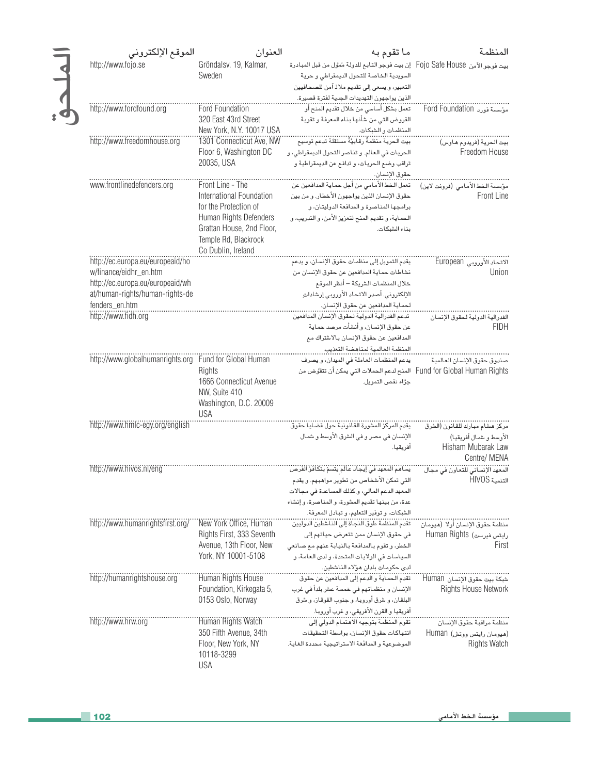| الموقع الإلكتروني                                      | العنوان                                                                 | ما تقوم به                                                                                                                       | المنظمة                                          |
|--------------------------------------------------------|-------------------------------------------------------------------------|----------------------------------------------------------------------------------------------------------------------------------|--------------------------------------------------|
| http://www.fojo.se                                     | Gröndalsv. 19, Kalmar,<br>Sweden                                        | بيت فوجو الآمِن  Fojo Safe House   إن بيت فوجو التابع للدولة مُمَوَّل من قبل المبادرة<br>السويدية الخاصة للتحول الديمقراطى وحرية |                                                  |
|                                                        |                                                                         | التعبير، ويسعى إلى تقديم ملاذ آمن للصحافيين                                                                                      |                                                  |
| http://www.fordfound.org                               | <b>Ford Foundation</b>                                                  | الذين يواجهون التهديدات الجدية لفترة قصيرة.                                                                                      |                                                  |
|                                                        | 320 East 43rd Street                                                    | القروض التي من شأنها بناء المعرفة و تقوية                                                                                        |                                                  |
| http://www.freedomhouse.org                            | New York, N.Y. 10017 USA<br>1301 Connecticut Ave, NW                    | المنظمات والشبكات.                                                                                                               | بيت الحرية (فريدوم هاوس)                         |
|                                                        | Floor 6, Washington DC                                                  | الحريات في العالم. وتناصر التحول الديمقراطي، و                                                                                   | Freedom House                                    |
|                                                        | 20035, USA                                                              | تراقب وضع الحريات، و تدافع عن الديمقراطية و                                                                                      |                                                  |
| www.frontlinedefenders.org                             | Front Line - The                                                        | حقوق الإنسان.<br>تعمل الخط الأمامي من أجل حماية المدافعين عن                                                                     |                                                  |
|                                                        | International Foundation                                                | حقوق الإنسان الذين يواجهون الأخطار. و من بين                                                                                     | مؤسسة الخط الأمامي (فرونت لاين)<br>Front Line    |
|                                                        | for the Protection of                                                   | برامجها المناصرة والمدافعة الدوليتان، و                                                                                          |                                                  |
|                                                        | Human Rights Defenders                                                  | الحماية، وتقديم المنح لتعزيز الأمن، والتدريب، و                                                                                  |                                                  |
|                                                        | Grattan House, 2nd Floor,<br>Temple Rd, Blackrock<br>Co Dublin, Ireland | بناء الشبكات.                                                                                                                    |                                                  |
| http://ec.europa.eu/europeaid/ho                       |                                                                         | يقدم التمويل إلى منظمات حقوق الإنسان، ويدعم                                                                                      | الاتحاد الأوروبي European                        |
| w/finance/eidhr_en.htm                                 |                                                                         | نشاطات حماية المدافعين عن حقوق الإنسان من                                                                                        | Union                                            |
| http://ec.europa.eu/europeaid/wh                       |                                                                         | خلال المنظمات الشريكة – أنظر الموقع                                                                                              |                                                  |
| at/human-rights/human-rights-de<br>fenders_en.htm      |                                                                         | الإلكتروني. أصدر الاتحاد الأوروبي إرشاداتِ<br>لحماية المدافعين عن حقوق الإنسان.                                                  |                                                  |
| http://www.fidh.org                                    |                                                                         | تدعم الفدرالية الدولية لحقوق الإنسان المدافعين                                                                                   | الفدرالية الدولية لحقوق الإنسان                  |
|                                                        |                                                                         | عن حقوق الإنسان، و أنشأت مرصد حماية                                                                                              | <b>FIDH</b>                                      |
|                                                        |                                                                         | المدافعين عن حقوق الإنسان بالاشتراك مع                                                                                           |                                                  |
|                                                        |                                                                         |                                                                                                                                  |                                                  |
| http://www.globalhumanrights.org Fund for Global Human | Rights                                                                  | يدعم المنظمات العاملة في الميدان، و يصرف<br>Fund for Global Human Rights    المنح لدعم الحملات التي يمكن أن تتقوَّض من           | صندوق حقوق الإنسان العالمية                      |
|                                                        | 1666 Connecticut Avenue<br>NW, Suite 410                                | جرًاء نقص التمويل.                                                                                                               |                                                  |
|                                                        | Washington, D.C. 20009<br><b>USA</b>                                    |                                                                                                                                  |                                                  |
| http://www.hmlc-egy.org/english                        |                                                                         | يقدم المركز المشورة القانونية حول قضايا حقوق                                                                                     | مركز هشام مبارك للقانون (الشرق                   |
|                                                        |                                                                         | الإنسان في مصر و في الشرق الأوسط و شمال<br>أفريقيا.                                                                              | الأوسط و شمال أفريقيا)<br>Hisham Mubarak Law     |
| http://www.hivos.nl/eng                                |                                                                         |                                                                                                                                  | Centre/ MENA                                     |
|                                                        |                                                                         | التي تمكن الأشخاص من تطوير مواهبهم. و يقدم                                                                                       | التنمية HIVOS                                    |
|                                                        |                                                                         | المعهد الدعم المالي، وكذلك المساعدة في مجالات                                                                                    |                                                  |
|                                                        |                                                                         | عدة، من بينها تقديم المشورة، و المناصرة، و إنشاء                                                                                 |                                                  |
| http://www.humanrightsfirst.org/                       | New York Office, Human                                                  | الشبكات، وتوفير التعليم، وتبادل المعرفة.<br>تقدم المنظمة طوق النجاة إلى الناشطين الدوليين                                        | منظمة حقوق الإنسان أولا (هيومان                  |
|                                                        | Rights First, 333 Seventh                                               | في حقوق الإنسان ممن تتعرض حياتهم إلى                                                                                             | رايتس فيرست) Human Rights                        |
|                                                        | Avenue, 13th Floor, New                                                 | الخطر، وتقوم بالمدافعة بالنيابة عنهم مع صانعي                                                                                    | First                                            |
|                                                        | York, NY 10001-5108                                                     | السياسات في الولايات المتحدة، و لدى العامة، و                                                                                    |                                                  |
| http://humanrightshouse.org                            | Human Rights House                                                      | لدى حكومات بلدان هؤلاء الناشطين.<br>تقدم الحماية والدعم إلى المدافعين عن حقوق                                                    | شبكة بيت حقوق الإنسان Human                      |
|                                                        | Foundation, Kirkegata 5,                                                | الإنسان و منظماتهم في خمسة عشر بلداً في غرب                                                                                      | <b>Rights House Network</b>                      |
|                                                        | 0153 Oslo, Norway                                                       | البلقان، و شرق أوروبـا، و جنوب القوقـاز، و شرق                                                                                   |                                                  |
|                                                        |                                                                         | أفريقيا و القرن الأفريقي، و غرب أوروبـا.                                                                                         |                                                  |
| http://www.hrw.org                                     | Human Rights Watch                                                      |                                                                                                                                  | منظمة مراقبة حقوق الإنسان                        |
|                                                        | 350 Fifth Avenue, 34th<br>Floor, New York, NY<br>10118-3299             | انتهاكات حقوق الإنسان، بواسطة التحقيقات<br>الموضوعية و المدافَعَة الاستراتيجية محددة الغاية.                                     | (هیومان رایتس ووتش) Human<br><b>Rights Watch</b> |
|                                                        | <b>USA</b>                                                              |                                                                                                                                  |                                                  |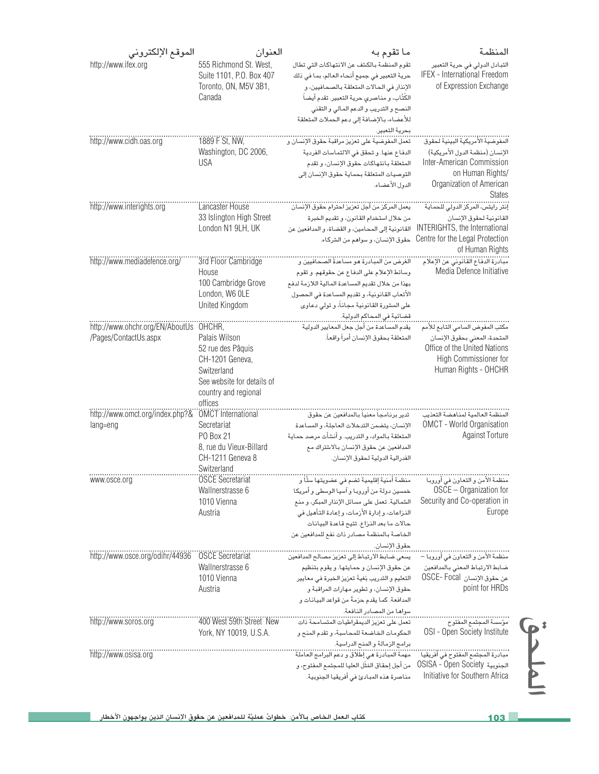| الموقع الإلكتروني                                               | العنوان                                                                                                                               | ما تقوم به                                                                                                                                                                                                                                                                                              | المنظمة                                                                                                                                           |
|-----------------------------------------------------------------|---------------------------------------------------------------------------------------------------------------------------------------|---------------------------------------------------------------------------------------------------------------------------------------------------------------------------------------------------------------------------------------------------------------------------------------------------------|---------------------------------------------------------------------------------------------------------------------------------------------------|
| http://www.ifex.org                                             | 555 Richmond St. West,<br>Suite 1101, P.O. Box 407<br>Toronto, ON, M5V 3B1,<br>Canada                                                 | تقوم المنظمة بالكشف عن الانتهاكات التي تطال<br>حرية التعبير في جميع أنحاء العالم، بما في ذلك<br>الإنذار في الحالات المتعلقة بالصحافيين، و<br>الكُتَّاب، و مناصري حرية التعبير. تقدم أيضاً<br>النصح والتدريب والدعم المالى والتقنى<br>للأعضاء، بالإضافة إلى دعم الحملات المتعلقة<br>بحرية التعبير.       | التبادل الدولي في حرية التعبير<br>IFEX - International Freedom<br>of Expression Exchange                                                          |
| http://www.cidh.oas.org                                         | 1889 F St, NW,<br>Washington, DC 2006,<br><b>USA</b>                                                                                  | تعمل المفوضية على تعزيز مراقبة حقوق الإنسان و<br>الدفاع عنها. وتحقق في الالتماسات الفردية<br>المتعلقة بانتهاكات حقوق الإنسان، وتقدم<br>التوصيات المتعلقة بحماية حقوق الإنسان إلى<br>الدول الأعضاء.                                                                                                      | الإنسان (منظمة الدول الأمريكية)<br>Inter-American Commission<br>on Human Rights/<br>Organization of American<br><b>States</b>                     |
| http://www.interights.org                                       | Lancaster House<br>33 Islington High Street<br>London N1 9LH, UK                                                                      | من خلال استخدام القانون، وتقديم الخبرة<br>القانونية إلى المحامين، والقضاة، والمدافعين عن<br>حقوق الإنسان، و سواهم من الشركاء.                                                                                                                                                                           | القانونية لحقوق الإنسان<br>INTERIGHTS, the International<br>Centre for the Legal Protection<br>of Human Rights                                    |
| http://www.mediadefence.org/                                    | 3rd Floor Cambridge<br>House<br>100 Cambridge Grove<br>London, W6 OLE<br>United Kingdom                                               | الغرض من المبادرة هو مساعدةُ الصحافيين و<br>وسائط الإعلام على الدفاع عن حقوقهم. و تقوم<br>بهذا من خلال تقديم المساعدة المالية اللازمة لدفع<br>الأتعاب القانونية، و تقديم المساعدة في الحصول<br>على المشورة القانونية مجاناً، و تولي دعاوى                                                               | Media Defence Initiative                                                                                                                          |
| http://www.ohchr.org/EN/AboutUs OHCHR,<br>/Pages/ContactUs.aspx | Palais Wilson<br>52 rue des Pâquis<br>CH-1201 Geneva,<br>Switzerland<br>See website for details of<br>country and regional<br>offices | يقدم المساعدة من أجل جعل المعايير الدولية<br>المتعلقة بحقوق الإنسان أمراً واقعاً.                                                                                                                                                                                                                       | مكتب المفوض السامي التابع للأمم<br>المتحدة، المعنى بحقوق الإنسان<br>Office of the United Nations<br>High Commissioner for<br>Human Rights - OHCHR |
| http://www.omct.org/index.php?& OMCT International<br>lang=eng  | Secretariat<br><b>PO Box 21</b><br>8, rue du Vieux-Billard<br>CH-1211 Geneva 8<br>Switzerland                                         | تدير برنامجاً معنياً بالمدافعين عن حقوق<br>الإنسان، يتضمن التدخلات العاجلة، والمساعدة<br>المتعلقة بالمواد، و التدريب. و أنشأت مرصد حماية<br>المدافعين عن حقوق الإنسان بالاشتراك مع<br>الفدرالية الدولية لحقوق الإنسان.                                                                                  | OMCT - World Organisation<br><b>Against Torture</b>                                                                                               |
| www.osce.org                                                    | <b>OSCE Secretariat</b><br>Wallnerstrasse 6<br>1010 Vienna<br>Austria                                                                 | منظمة أمنية إقليمية تضم في عضويتها ستًاً و<br>خمسين دولة من أوروبا و آسيا الوسطى و أمريكا<br>الشمالية. تعمل على مسائل الإنذار المبكر، و منع<br>الذزاعات، و إدارة الأزمات، و إعادة التأهيل في<br>حالات ما بعد الذزاع. تتيح قاعدة البيانات<br>الخاصة بالمنظمة مصادر ذات نفع للمدافعين عن<br>حقوق الإنسان. | منظمة الأمن و التعاون في أوروبا<br>OSCE - Organization for<br>Security and Co-operation in<br>Europe                                              |
| http://www.osce.org/odihr/44936                                 | <b>OSCE Secretariat</b><br>Wallnerstrasse 6<br>1010 Vienna<br>Austria                                                                 | يسعى ضابط الارتباط إلى تعزيز مصالح المدافعين<br>عن حقوق الإنسان و حمايتها. و يقوم بتنظيم<br>التعليم و التدريب بُغيةَ تعزيز الخبرة في معايير<br>حقوق الإنسان، وتطوير مهارات المراقبة و<br>المدافعة. كما يقدم حزمةً من قواعد البيانات و<br>سواها من المصادر النافعة.                                      | منظمة الأمن و التعاون في أوروبا –<br>ضابط الارتباط المعنى بالمدافعين<br>عن حقوق الإنسان OSCE- Focal<br>point for HRDs                             |
| http://www.soros.org                                            | 400 West 59th Street New<br>York, NY 10019, U.S.A.                                                                                    | الحكومات الخاضعة للمحاسبة، وتقدم المنح و                                                                                                                                                                                                                                                                | <br>مؤسسة المجتمع المفتوح<br>OSI - Open Society Institute                                                                                         |
| http://www.osisa.org                                            |                                                                                                                                       | مهمة المبادرة هي إطلاق و دعم البرامج العاملة<br>من أجل إحقاق المُثُل العليا للمجتمع المفتوح، و<br>مناصرة هذه المبادئ في أفريقيا الجنوبية.                                                                                                                                                               | OSISA - Open Society الجنوبية<br>Initiative for Southern Africa                                                                                   |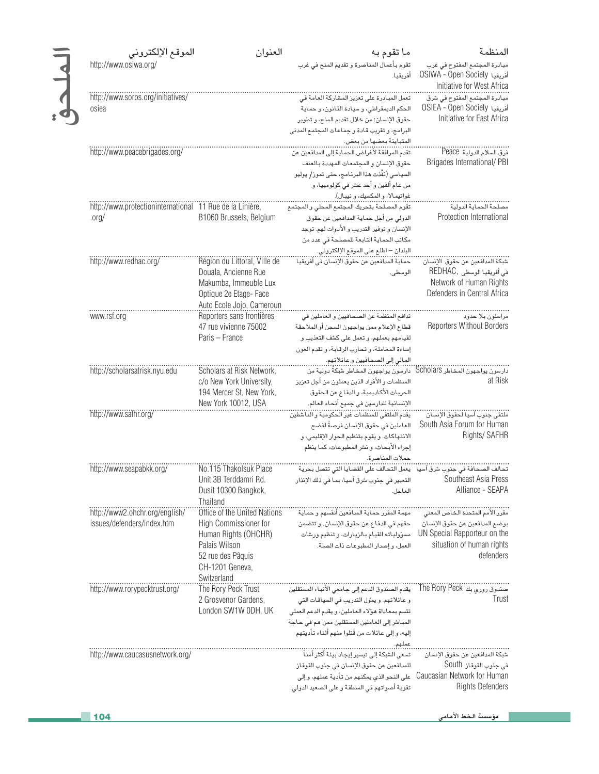| الموقع الإلكتروني                                                    | العنوان                                                                                                                                               | ما تقوم به                                                                                                                                                                                                                                                        | المنظمة                                                                                                                                     |
|----------------------------------------------------------------------|-------------------------------------------------------------------------------------------------------------------------------------------------------|-------------------------------------------------------------------------------------------------------------------------------------------------------------------------------------------------------------------------------------------------------------------|---------------------------------------------------------------------------------------------------------------------------------------------|
| http://www.osiwa.org/                                                |                                                                                                                                                       | تقوم بأعمال المناصرة و تقديم المنح في غرب<br>أفريقيا.                                                                                                                                                                                                             | مبادرة المجتمع المفتوح فى غرب<br>OSIWA - Open Society أفريقيا                                                                               |
| http://www.soros.org/initiatives/<br>osiea                           |                                                                                                                                                       | تعمل المبادرة على تعزيز المشاركة العامة في<br>الحكم الديمقراطي، وسيادة القانون، وحماية<br>حقوق الإنسان؛ من خلال تقديم المنح، و تطوير<br>البرامج، و تقريب قـادة و جمـاعـات المجتمـع المدني                                                                         | Initiative for West Africa<br>OSIEA - Open Society أفريقيا<br>Initiative for East Africa                                                    |
| http://www.peacebrigades.org/                                        |                                                                                                                                                       | المتباينة بعضها من بعض.<br>تقدم المرافقة لأغراض الحماية إلى المدافعين عن<br>حقوق الإنسان والمجتمعات المهددة بالعنف<br>السياسي (نفَّذت هذا البرنامج، حتى تموز/ يوليو<br>من عام ألفين و أحد عشر في كولومبيا، و                                                      | فرق السلام الدولية Peace<br>Brigades International/PBI                                                                                      |
| http://www.protectioninternational 11 Rue de la Linière,<br>$.$ org/ | B1060 Brussels, Belgium                                                                                                                               | تقوم المصلحة بتحريك المجتمع المحلي و المجتمع<br>الدولي من أجل حماية المدافعين عن حقوق<br>الإنسان و توفير التدريب و الأدوات لهم. توجد<br>مكاتب الحماية التابعة للمصلحة في عدد من<br>البلدان – اطلع على الموقع الإلكتروني.                                          | <br>مصلحة الحماية الدولية<br>Protection International                                                                                       |
| http://www.redhac.org/                                               | Région du Littoral, Ville de<br>Douala, Ancienne Rue<br>Makumba, Immeuble Lux<br>Optique 2e Etage- Face<br>Auto Ecole Jojo, Cameroun                  | حماية المدافعين عن حقوق الإنسان في أفريقيا<br>الوسطى.                                                                                                                                                                                                             | شبكة المدافعين عن حقوق الإنسان<br>في أفريقيا الوسطى ,REDHAC<br>Network of Human Rights<br>Defenders in Central Africa                       |
| www.rsf.org                                                          | Reporters sans frontières<br>47 rue vivienne 75002<br>Paris - France                                                                                  | تدافع المنظمة عن الصحافيين و العاملين في<br>قطاع الإعلام ممن يواجهون السجن أو الملاحقة<br>لقيامهم بعملهم، و تعمل على كشف التعذيب و<br>إساءة المعاملة، وتحارب الرقابة، وتقدم العون                                                                                 | مراسلون بلا حدود<br><b>Reporters Without Borders</b>                                                                                        |
| http://scholarsatrisk.nyu.edu                                        | Scholars at Risk Network,<br>c/o New York University,<br>194 Mercer St, New York,<br>New York 10012, USA                                              | .<br>دارسون يواجهون المخاطر Scholars   دارسون يواجهون المخاطر شبكةٌ دولية من<br>المنظمات والأفراد الذين يعملون من أجل تعزيز<br>الحريات الأكاديمية، والدفاع عن الحقوق<br>الإنسانية للدارسين في جميع أنحاء العالم.                                                  | at Risk                                                                                                                                     |
| http://www.safhr.org/                                                |                                                                                                                                                       | العاملين في حقوق الإنسان فرصةً لفضح<br>الانتهاكات. ويقوم بتنظيم الحوار الإقليمي، و<br>إجراء الأبحاث، ونشر المطبوعات، كما ينظم<br>حملات المناصرة.                                                                                                                  | South Asia Forum for Human<br>Rights/ SAFHR                                                                                                 |
| http://www.seapabkk.org/                                             | No.115 Thakolsuk Place<br>Unit 3B Terddamri Rd.<br>Dusit 10300 Bangkok,<br>Thailand                                                                   | التعبير فى جنوب شرق آسيا، بما فى ذلك الإنذار<br>العاجل.                                                                                                                                                                                                           | Southeast Asia Press<br>Alliance - SEAPA                                                                                                    |
| http://www2.ohchr.org/english/<br>issues/defenders/index.htm         | Office of the United Nations<br>High Commissioner for<br>Human Rights (OHCHR)<br>Palais Wilson<br>52 rue des Pâquis<br>CH-1201 Geneva,<br>Switzerland | مهمة المقرر حماية المدافعين أنفسهم و حماية<br>حقهم في الدفاع عن حقوق الإنسان, و تتضمن<br>مسؤولياته القيام بالزيارات، وتنظيم ورشات<br>العمل، وإصدار المطبوعات ذات الصلة.                                                                                           | مقرر الأمم المتحدة الخاص المعنى<br>بوضع المدافعين عن حقوق الإنسان<br>UN Special Rapporteur on the<br>situation of human rights<br>defenders |
| http://www.rorypecktrust.org/                                        | The Rory Peck Trust<br>2 Grosvenor Gardens,<br>London SW1W ODH, UK                                                                                    | يقدم الصندوق الدعم إلى جامعي الأنباء المستقلين<br>و عائلاتهم. و يموِّل التدريب في السياقات التي<br>تتسم بمعاداة هؤلاء العاملين، و يقدم الدعم العملي<br>المباشر إلى العاملين المستقلين ممن هم في حاجة<br>إليه، و إلى عائلات من قُتلوا منهم أثناء تأديتهم<br>عملهم. | Trust                                                                                                                                       |
| http://www.caucasusnetwork.org/                                      |                                                                                                                                                       | تسعى الشبكة إلى تيسير إيجاد بيئة أكثر أمناً<br>للمدافعين عن حقوق الإنسان في جنوب القوقاز<br>على النحو الذي يمكنهم من تأدية عملهم، وإلى<br>تقوية أصواتهم في المنطقة و على الصعيد الدولي.                                                                           | شبكة المدافعين عن حقوق الإنسان<br>في جنوب القوقاز South<br>Caucasian Network for Human<br><b>Rights Defenders</b>                           |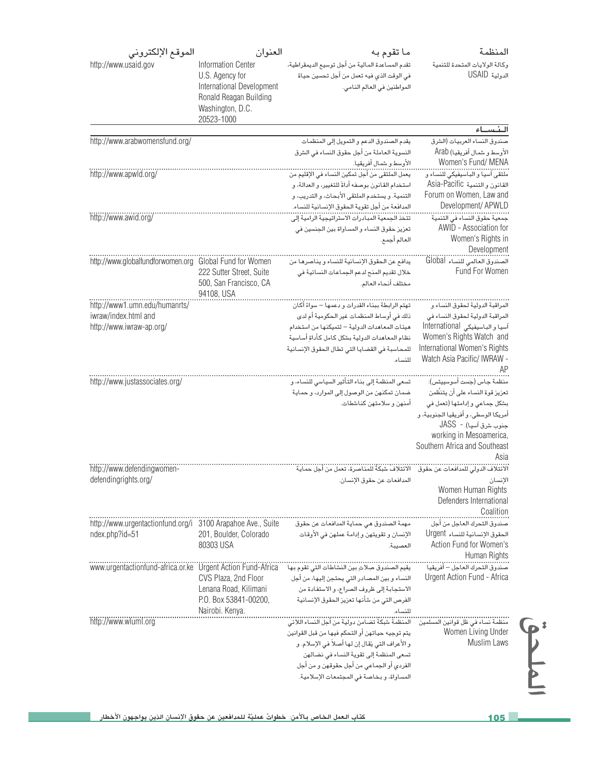| الموقع الإلكتروني<br>http://www.usaid.gov                   | العنوان<br><b>Information Center</b>                                                                     | ما تقوم به<br>تقدم المساعدة المالية من أجل توسيع الديمقراطية،                           | المنظمة<br>وكالة الولايات المتحدة للتنمية                   |
|-------------------------------------------------------------|----------------------------------------------------------------------------------------------------------|-----------------------------------------------------------------------------------------|-------------------------------------------------------------|
|                                                             | U.S. Agency for<br>International Development<br>Ronald Reagan Building<br>Washington, D.C.<br>20523-1000 | في الوقت الذي فيه تعمل من أجل تحسين حياة<br>المواطنين في العالم النامي.                 | الدولية USAID                                               |
|                                                             |                                                                                                          |                                                                                         | النساء                                                      |
| http://www.arabwomensfund.org/                              |                                                                                                          | يقدم الصندوق الدعم والتمويل إلى المنظمات<br>النسوية العاملة من أجل حقوق النساء في الشرق | صندوق النساء العربيات (الشرق<br>الأوسط و شمال أفريقيا) Arab |
|                                                             |                                                                                                          | الأوسط و شمال أفريقيا.                                                                  | Women's Fund/ MENA                                          |
| http://www.apwld.org/                                       |                                                                                                          | يعمل الملتقى من أجل تمكين النساء في الإقليم من                                          |                                                             |
|                                                             |                                                                                                          | استخدام القانون بوصفه أداةً للتغيير، و العدالة، و                                       | القانون و التنمية Asia-Pacific                              |
|                                                             |                                                                                                          | التنمية. ويستخدم الملتقى الأبحاث، والتدريب، و                                           | Forum on Women, Law and                                     |
|                                                             |                                                                                                          | المدافَعة من أجل تقوية الحقوق الإنسانية للنساء.                                         | Development/ APWLD                                          |
| http://www.awid.org/                                        |                                                                                                          | تتخذ الجمعية المبادرات الاستراتيجية الرامية إلى                                         |                                                             |
|                                                             |                                                                                                          | تعزيز حقوق النساء و المساواة بين الجنسين في                                             | AWID - Association for                                      |
|                                                             |                                                                                                          | العالم أجمع.                                                                            | Women's Rights in                                           |
|                                                             |                                                                                                          |                                                                                         | Development                                                 |
| http://www.globalfundforwomen.org Global Fund for Women     |                                                                                                          | يدافع عن الحقوق الإنسانية للنساء ويناصرها من                                            | الصندوق العالمي للنساء Global                               |
|                                                             | 222 Sutter Street, Suite                                                                                 | خلال تقديم المنح لدعم الجماعات النسائية في                                              | Fund For Women                                              |
|                                                             | 500, San Francisco, CA                                                                                   | مختلف أنحاء العالم.                                                                     |                                                             |
|                                                             | 94108, USA                                                                                               |                                                                                         |                                                             |
| http://www1.umn.edu/humanrts/                               |                                                                                                          | تهتم الرابطة ببناء القدرات و دعمها – سواءً أكان                                         | المراقبة الدولية لحقوق النساء و                             |
| iwraw/index.html and                                        |                                                                                                          | ذلك في أوساط المنظمات غير الحكومية أم لدى                                               | المراقبة الدولية لحقوق النساء فى                            |
| http://www.iwraw-ap.org/                                    |                                                                                                          | هيئات المعاهدات الدولية - لتميكنها من استخدام                                           | آسيا و الباسيفيكي International                             |
|                                                             |                                                                                                          | نظام المعاهدات الدولية بشكل كامل كأداة أساسية                                           | Women's Rights Watch and                                    |
|                                                             |                                                                                                          | للمحاسبة فى القضايا التى تطال الحقوق الإنسانية                                          | International Women's Rights                                |
|                                                             |                                                                                                          | للنساء.                                                                                 | Watch Asia Pacific/ IWRAW -                                 |
|                                                             |                                                                                                          |                                                                                         | AΡ                                                          |
| http://www.justassociates.org/                              |                                                                                                          | تسعى المنظمة إلى بناء التأثير السياسي للنساء، و                                         | منظمة جاس (جَست أسوسييتس):                                  |
|                                                             |                                                                                                          | ضمان تمكنهن من الوصول إلى الموارد، و حماية                                              | تعزيز قوة النساء على أن يتنظَّمن                            |
|                                                             |                                                                                                          | أمنهن و سلامتهن كناشطات.                                                                | بشكل جماعي وإدامتها (تعمل في                                |
|                                                             |                                                                                                          |                                                                                         | أمريكا الوسطى، و أفريقيا الجنوبية، و                        |
|                                                             |                                                                                                          |                                                                                         | جنوب شرق آسيا). -  JASS                                     |
|                                                             |                                                                                                          |                                                                                         | working in Mesoamerica,                                     |
|                                                             |                                                                                                          |                                                                                         | Southern Africa and Southeast                               |
|                                                             |                                                                                                          |                                                                                         | Asia                                                        |
| http://www.defendingwomen-                                  |                                                                                                          |                                                                                         |                                                             |
| defendingrights.org/                                        |                                                                                                          | المدافعات عن حقوق الإنسان.                                                              | الانسان<br>Women Human Rights                               |
|                                                             |                                                                                                          |                                                                                         | Defenders International                                     |
|                                                             |                                                                                                          |                                                                                         | Coalition                                                   |
| http://www.urgentactionfund.org/i 3100 Arapahoe Ave., Suite |                                                                                                          | مهمة الصندوق هي حماية المدافعات عن حقوق                                                 | صندوق التحرك العاجل من أجل                                  |
| ndex.php?id=51                                              | 201, Boulder, Colorado                                                                                   | الإنسان وتقويتهن وإدامة عملهن في الأوقات                                                | الحقوق الإنسانية للنساء Urgent                              |
|                                                             | 80303 USA                                                                                                | العصيبة.                                                                                | Action Fund for Women's                                     |
|                                                             |                                                                                                          |                                                                                         | Human Rights                                                |
| www.urgentactionfund-africa.or.ke Urgent Action Fund-Africa |                                                                                                          | يقيم الصندوق صِلاتِ بين النشاطات التي تقوم بها                                          | صندوق التحرك العاجل – أفريقيا                               |
|                                                             | CVS Plaza, 2nd Floor                                                                                     | النساء و بين المصادر التي يحتجن إليها، من أجل                                           | Urgent Action Fund - Africa                                 |
|                                                             | Lenana Road, Kilimani                                                                                    | الاستجابة إلى ظروف الصراع، و الاستفادة من                                               |                                                             |
|                                                             | P.O. Box 53841-00200,                                                                                    | الفرص التى من شأنها تعزيز الحقوق الإنسانية                                              |                                                             |
|                                                             | Nairobi. Kenya.                                                                                          | للنساء.                                                                                 |                                                             |
| http://www.wluml.org                                        |                                                                                                          |                                                                                         |                                                             |
|                                                             |                                                                                                          | يتم توجيه حياتهن أو التحكم فيها من قبل القوانين                                         | Women Living Under                                          |
|                                                             |                                                                                                          | و الأعراف التي يُقال إن لها أصلاً في الإسلام. و                                         | Muslim Laws                                                 |
|                                                             |                                                                                                          | تسعى المنظمة إلى تقوية النساء في نضالهن                                                 |                                                             |
|                                                             |                                                                                                          | الفردي أو الجماعي من أجل حقوقهن و من أجل                                                |                                                             |
|                                                             |                                                                                                          | المساواة، وبخاصة في المجتمعات الإسلامية.                                                |                                                             |
|                                                             |                                                                                                          |                                                                                         |                                                             |
|                                                             |                                                                                                          |                                                                                         |                                                             |
|                                                             |                                                                                                          |                                                                                         |                                                             |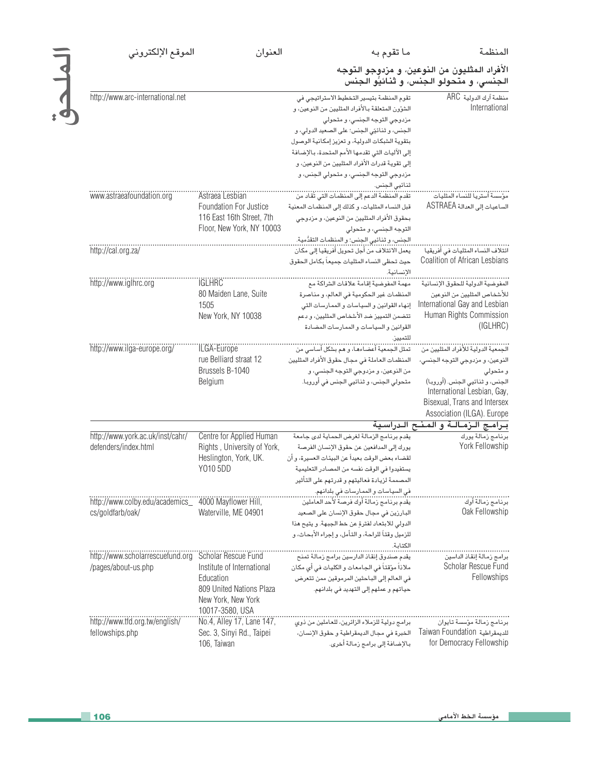المنظمة

العنوان

الملحق

## الأفراد المثليون من النوعين، و مزدوجو التوجه<br>الجنسي، و متحولو الجنس، و ثنائيُّو الجنس

ما تقوم به

| http://www.arc-international.net                     |                             | تقوم المنظمة بتيسير التخطيط الاستراتيجي في        | منظمة آرك الدولية ARC               |
|------------------------------------------------------|-----------------------------|---------------------------------------------------|-------------------------------------|
|                                                      |                             | الشؤون المتعلقة بالأفراد المثليين من النوعين، و   | International                       |
|                                                      |                             | مزدوجى التوجه الجنسى، و متحولى                    |                                     |
|                                                      |                             | الجنس، و ثنائيّي الجنس؛ على الصعيد الدولي، و      |                                     |
|                                                      |                             | بتقوية الشبكات الدولية، و تعزيز إمكانية الوصول    |                                     |
|                                                      |                             | إلى الآليات التي تقدمها الأمم المتحدة، بالإضافة   |                                     |
|                                                      |                             | إلى تقوية قدرات الأفراد المثليين من النوعين، و    |                                     |
|                                                      |                             | مزدوجي التوجه الجنسي، و متحولي الجنس، و           |                                     |
|                                                      |                             | ثنائيي الجنس.                                     |                                     |
| www.astraeafoundation.org                            | Astraea Lesbian             |                                                   |                                     |
|                                                      | Foundation For Justice      | قبل النساء المثليات، وكذلك إلى المنظمات المعنية   | الساعيات إلى العدالة ASTRAEA        |
|                                                      | 116 East 16th Street, 7th   | بحقوق الأفراد المثليين من النوعين، و مزدوجي       |                                     |
|                                                      | Floor, New York, NY 10003   | التوجه الجنسى، و متحولى                           |                                     |
|                                                      |                             | الجنس، و ثنائيي الجنس؛ و المنظمات التقدُّمية.     |                                     |
| http://cal.org.za/                                   |                             | يعمل الائتلاف من أجل تحويل أفريقيا إلى مكان       |                                     |
|                                                      |                             | حيث تحظى النساء المثليات جميعاً بكامل الحقوق      | Coalition of African Lesbians       |
|                                                      |                             | الانسانية.                                        |                                     |
| http://www.iglhrc.org                                | <b>IGLHRC</b>               | مهمة المفوضية إقامة علاقات الشراكة مع             |                                     |
|                                                      | 80 Maiden Lane, Suite       | المنظمات غير الحكومية في العالم، و مناصرة         | للأشخاص المثليين من النوعين         |
|                                                      | 1505                        | إنهاء القوانين و السياسات و الممارسات التي        | International Gay and Lesbian       |
|                                                      | New York, NY 10038          | تتضمن التمييز ضد الأشخاص المثليين، و دعم          | Human Rights Commission             |
|                                                      |                             | القوانين والسياسات والممارسات المضادة             | (IGLHRC)                            |
|                                                      |                             | للتمييز                                           |                                     |
| http://www.ilga-europe.org/                          | ILGA-Europe                 | تمثل الجمعية أعضـاءهـا، و هـم بـشكل أسـاسى من     | الجمعية الدولية للأفراد المثليين من |
|                                                      | rue Belliard straat 12      | المنظمات العاملة في مجال حقوق الأفراد المثليين    | الذوعين، و مزدوجي التوجه الجنسي،    |
|                                                      | Brussels B-1040             | من النوعين، و مزدوجي التوجه الجنسي، و             | و متحولی                            |
|                                                      | Belgium                     | متحولي الجنس، و ثنـائيي الـجنس في أوروبـا.        | الجنس، و ثنائيي الجنس. (أوروبا)     |
|                                                      |                             |                                                   | International Lesbian, Gay,         |
|                                                      |                             |                                                   | Bisexual, Trans and Intersex        |
|                                                      |                             |                                                   | Association (ILGA). Europe          |
|                                                      |                             |                                                   | برامج الزمالة و المنح الدراسية      |
| http://www.york.ac.uk/inst/cahr/                     | Centre for Applied Human    | يقدم برنامج الزمالة لغرض الحماية لدى جامعة        | برنامج زمالة يورك                   |
| defenders/index.html                                 | Rights, University of York, | يورك إلى المدافعين عن حقوق الإنسان الفرصة         | York Fellowship                     |
|                                                      | Heslington, York, UK.       | لقضاء بعض الوقت بعيداً عن البيئات العسيرة، و أن   |                                     |
|                                                      | Y010 5DD                    | يستفيدوا في الوقت نفسه من المصادر التعليمية       |                                     |
|                                                      |                             | المصممة لزيادة فعاليتهم و قدرتهم على التأثير      |                                     |
|                                                      |                             | في السياسات و الممارسات في بلدانهم.               |                                     |
| http://www.colby.edu/academics_ 4000 Mayflower Hill, |                             | يقدم برنامج زمالة أوك فرصة لأحد العاملين          | برنامج زمالة أوك                    |
| cs/goldfarb/oak/                                     | Waterville, ME 04901        | البارزين في مجال حقوق الإنسان على الصعيد          | Oak Fellowship                      |
|                                                      |                             | الدولي للابتعاد لفترة عن خط الجبهة. و يتيح هذا    |                                     |
|                                                      |                             | للزميل وقتاً للراحة، و التأمل، و إجراء الأبحاث، و |                                     |
|                                                      |                             | الكتاىة.                                          |                                     |
| http://www.scholarrescuefund.org Scholar Rescue Fund |                             | يقدم صندوق إنقاذ الدارسين برامج زمالة تمنح        | برامج زمالة إنقاذ الداسين           |
| /pages/about-us.php                                  | Institute of International  | ملاذاً مؤقتاً في الجامعات و الكليات في أي مكان    | Scholar Rescue Fund                 |
|                                                      | Education                   | في العالم إلى الباحثين المرموقين ممن تتعرض        | Fellowships                         |
|                                                      | 809 United Nations Plaza    | حياتهم و عملهم إلى التهديد في بلدانهم.            |                                     |
|                                                      | New York, New York          |                                                   |                                     |
|                                                      | 10017-3580, USA             |                                                   |                                     |
| http://www.tfd.org.tw/english/                       | No.4, Alley 17, Lane 147,   | برامج دولية للزملاء الزائرين، للعاملين من ذوي     | برنامج زمالة مؤسسة تايوان           |
| fellowships.php                                      | Sec. 3, Sinyi Rd., Taipei   | الخبرة فى مجال الديمقراطية وحقوق الإنسان،         | Taiwan Foundation للديمقراطية       |
|                                                      | 106, Taiwan                 | بالإضافة إلى برامج زمالة أخرى.                    | for Democracy Fellowship            |
|                                                      |                             |                                                   |                                     |